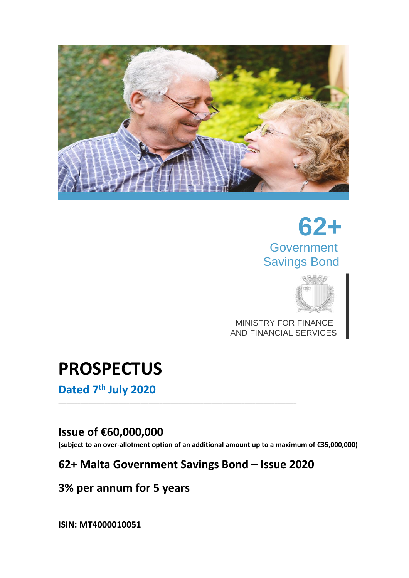

# **62+ Government** Savings Bond



 MINISTRY FOR FINANCE AND FINANCIAL SERVICES

# **PROSPECTUS**

**Dated 7 th July 2020**

### **Issue of €60,000,000**

**(subject to an over-allotment option of an additional amount up to a maximum of €35,000,000)** 

## **62+ Malta Government Savings Bond – Issue 2020**

## **3% per annum for 5 years**

**ISIN: MT4000010051**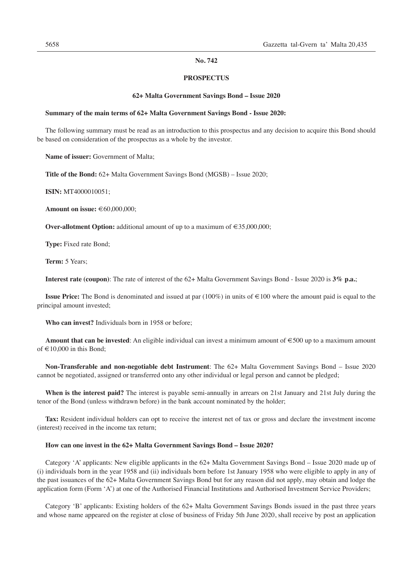#### **No. 742**

#### **PROSPECTUS**

#### **62+ Malta Government Savings Bond – Issue 2020**

#### **Summary of the main terms of 62+ Malta Government Savings Bond - Issue 2020:**

The following summary must be read as an introduction to this prospectus and any decision to acquire this Bond should be based on consideration of the prospectus as a whole by the investor.

**Name of issuer:** Government of Malta;

**Title of the Bond:** 62+ Malta Government Savings Bond (MGSB) – Issue 2020;

**ISIN:** MT4000010051;

**Amount on issue:** €60,000,000;

**Over-allotment Option:** additional amount of up to a maximum of €35,000,000;

**Type:** Fixed rate Bond;

**Term:** 5 Years;

**Interest rate (coupon)**: The rate of interest of the 62+ Malta Government Savings Bond - Issue 2020 is **3% p.a.**;

**Issue Price:** The Bond is denominated and issued at par  $(100%)$  in units of €100 where the amount paid is equal to the principal amount invested;

**Who can invest?** Individuals born in 1958 or before;

**Amount that can be invested**: An eligible individual can invest a minimum amount of €500 up to a maximum amount of  $\text{\large} \in 10,000$  in this Bond:

**Non-Transferable and non-negotiable debt Instrument**: The 62+ Malta Government Savings Bond – Issue 2020 cannot be negotiated, assigned or transferred onto any other individual or legal person and cannot be pledged;

**When is the interest paid?** The interest is payable semi-annually in arrears on 21st January and 21st July during the tenor of the Bond (unless withdrawn before) in the bank account nominated by the holder;

**Tax:** Resident individual holders can opt to receive the interest net of tax or gross and declare the investment income (interest) received in the income tax return;

#### **How can one invest in the 62+ Malta Government Savings Bond – Issue 2020?**

Category 'A' applicants: New eligible applicants in the 62+ Malta Government Savings Bond – Issue 2020 made up of (i) individuals born in the year 1958 and (ii) individuals born before 1st January 1958 who were eligible to apply in any of the past issuances of the 62+ Malta Government Savings Bond but for any reason did not apply, may obtain and lodge the application form (Form 'A') at one of the Authorised Financial Institutions and Authorised Investment Service Providers;

Category 'B' applicants: Existing holders of the 62+ Malta Government Savings Bonds issued in the past three years and whose name appeared on the register at close of business of Friday 5th June 2020, shall receive by post an application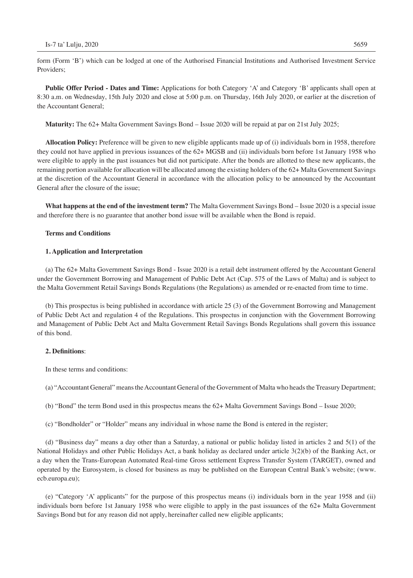form (Form 'B') which can be lodged at one of the Authorised Financial Institutions and Authorised Investment Service Providers;

**Public Offer Period - Dates and Time:** Applications for both Category 'A' and Category 'B' applicants shall open at 8:30 a.m. on Wednesday, 15th July 2020 and close at 5:00 p.m. on Thursday, 16th July 2020, or earlier at the discretion of the Accountant General;

**Maturity:** The 62+ Malta Government Savings Bond – Issue 2020 will be repaid at par on 21st July 2025;

**Allocation Policy:** Preference will be given to new eligible applicants made up of (i) individuals born in 1958, therefore they could not have applied in previous issuances of the 62+ MGSB and (ii) individuals born before 1st January 1958 who were eligible to apply in the past issuances but did not participate. After the bonds are allotted to these new applicants, the remaining portion available for allocation will be allocated among the existing holders of the 62+ Malta Government Savings at the discretion of the Accountant General in accordance with the allocation policy to be announced by the Accountant General after the closure of the issue;

**What happens at the end of the investment term?** The Malta Government Savings Bond – Issue 2020 is a special issue and therefore there is no guarantee that another bond issue will be available when the Bond is repaid.

#### **Terms and Conditions**

#### **1. Application and Interpretation**

(a) The 62+ Malta Government Savings Bond - Issue 2020 is a retail debt instrument offered by the Accountant General under the Government Borrowing and Management of Public Debt Act (Cap. 575 of the Laws of Malta) and is subject to the Malta Government Retail Savings Bonds Regulations (the Regulations) as amended or re-enacted from time to time.

(b) This prospectus is being published in accordance with article 25 (3) of the Government Borrowing and Management of Public Debt Act and regulation 4 of the Regulations. This prospectus in conjunction with the Government Borrowing and Management of Public Debt Act and Malta Government Retail Savings Bonds Regulations shall govern this issuance of this bond.

#### **2. Definitions**:

In these terms and conditions:

(a) "Accountant General" means the Accountant General of the Government of Malta who heads the Treasury Department;

(b) "Bond" the term Bond used in this prospectus means the 62+ Malta Government Savings Bond – Issue 2020;

(c) "Bondholder" or "Holder" means any individual in whose name the Bond is entered in the register;

(d) "Business day" means a day other than a Saturday, a national or public holiday listed in articles 2 and 5(1) of the National Holidays and other Public Holidays Act, a bank holiday as declared under article 3(2)(b) of the Banking Act, or a day when the Trans-European Automated Real-time Gross settlement Express Transfer System (TARGET), owned and operated by the Eurosystem, is closed for business as may be published on the European Central Bank's website; (www. ecb.europa.eu);

(e) "Category 'A' applicants" for the purpose of this prospectus means (i) individuals born in the year 1958 and (ii) individuals born before 1st January 1958 who were eligible to apply in the past issuances of the 62+ Malta Government Savings Bond but for any reason did not apply, hereinafter called new eligible applicants;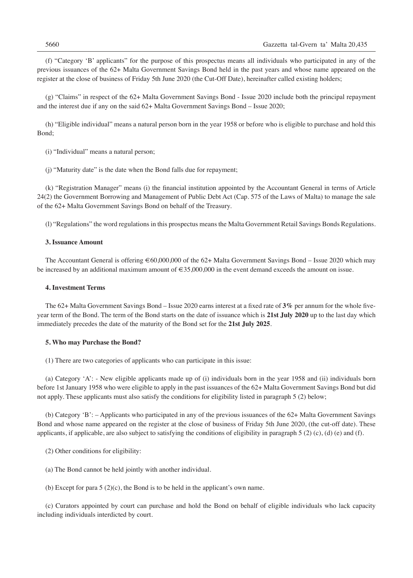(f) "Category 'B' applicants" for the purpose of this prospectus means all individuals who participated in any of the previous issuances of the 62+ Malta Government Savings Bond held in the past years and whose name appeared on the register at the close of business of Friday 5th June 2020 (the Cut-Off Date), hereinafter called existing holders;

(g) "Claims" in respect of the 62+ Malta Government Savings Bond - Issue 2020 include both the principal repayment and the interest due if any on the said 62+ Malta Government Savings Bond – Issue 2020;

(h) "Eligible individual" means a natural person born in the year 1958 or before who is eligible to purchase and hold this Bond;

(i) "Individual" means a natural person;

(j) "Maturity date" is the date when the Bond falls due for repayment;

(k) "Registration Manager" means (i) the financial institution appointed by the Accountant General in terms of Article 24(2) the Government Borrowing and Management of Public Debt Act (Cap. 575 of the Laws of Malta) to manage the sale of the 62+ Malta Government Savings Bond on behalf of the Treasury.

(l) "Regulations" the word regulations in this prospectus means the Malta Government Retail Savings Bonds Regulations.

#### **3. Issuance Amount**

The Accountant General is offering €60,000,000 of the 62+ Malta Government Savings Bond – Issue 2020 which may be increased by an additional maximum amount of  $\epsilon$ 35,000,000 in the event demand exceeds the amount on issue.

#### **4. Investment Terms**

The 62+ Malta Government Savings Bond – Issue 2020 earns interest at a fixed rate of **3%** per annum for the whole fiveyear term of the Bond. The term of the Bond starts on the date of issuance which is **21st July 2020** up to the last day which immediately precedes the date of the maturity of the Bond set for the **21st July 2025**.

#### **5. Who may Purchase the Bond?**

(1) There are two categories of applicants who can participate in this issue:

(a) Category 'A': - New eligible applicants made up of (i) individuals born in the year 1958 and (ii) individuals born before 1st January 1958 who were eligible to apply in the past issuances of the 62+ Malta Government Savings Bond but did not apply. These applicants must also satisfy the conditions for eligibility listed in paragraph 5 (2) below;

(b) Category 'B': – Applicants who participated in any of the previous issuances of the 62+ Malta Government Savings Bond and whose name appeared on the register at the close of business of Friday 5th June 2020, (the cut-off date). These applicants, if applicable, are also subject to satisfying the conditions of eligibility in paragraph  $5(2)$  (c), (d) (e) and (f).

- (2) Other conditions for eligibility:
- (a) The Bond cannot be held jointly with another individual.
- (b) Except for para  $5(2)(c)$ , the Bond is to be held in the applicant's own name.

(c) Curators appointed by court can purchase and hold the Bond on behalf of eligible individuals who lack capacity including individuals interdicted by court.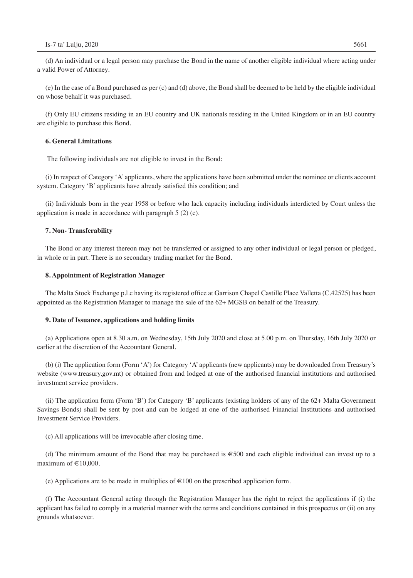(d) An individual or a legal person may purchase the Bond in the name of another eligible individual where acting under a valid Power of Attorney.

(e) In the case of a Bond purchased as per (c) and (d) above, the Bond shall be deemed to be held by the eligible individual on whose behalf it was purchased.

(f) Only EU citizens residing in an EU country and UK nationals residing in the United Kingdom or in an EU country are eligible to purchase this Bond.

#### **6. General Limitations**

The following individuals are not eligible to invest in the Bond:

(i) In respect of Category 'A' applicants, where the applications have been submitted under the nominee or clients account system. Category 'B' applicants have already satisfied this condition; and

(ii) Individuals born in the year 1958 or before who lack capacity including individuals interdicted by Court unless the application is made in accordance with paragraph 5 (2) (c).

#### **7. Non- Transferability**

The Bond or any interest thereon may not be transferred or assigned to any other individual or legal person or pledged, in whole or in part. There is no secondary trading market for the Bond.

#### **8. Appointment of Registration Manager**

The Malta Stock Exchange p.l.c having its registered office at Garrison Chapel Castille Place Valletta (C.42525) has been appointed as the Registration Manager to manage the sale of the 62+ MGSB on behalf of the Treasury.

#### **9. Date of Issuance, applications and holding limits**

(a) Applications open at 8.30 a.m. on Wednesday, 15th July 2020 and close at 5.00 p.m. on Thursday, 16th July 2020 or earlier at the discretion of the Accountant General.

(b) (i) The application form (Form 'A') for Category 'A' applicants (new applicants) may be downloaded from Treasury's website (www.treasury.gov.mt) or obtained from and lodged at one of the authorised financial institutions and authorised investment service providers.

(ii) The application form (Form 'B') for Category 'B' applicants (existing holders of any of the 62+ Malta Government Savings Bonds) shall be sent by post and can be lodged at one of the authorised Financial Institutions and authorised Investment Service Providers.

(c) All applications will be irrevocable after closing time.

(d) The minimum amount of the Bond that may be purchased is €500 and each eligible individual can invest up to a maximum of  $\text{\large\ensuremath{\in}} 10,000$ .

(e) Applications are to be made in multiplies of  $\epsilon$  100 on the prescribed application form.

(f) The Accountant General acting through the Registration Manager has the right to reject the applications if (i) the applicant has failed to comply in a material manner with the terms and conditions contained in this prospectus or (ii) on any grounds whatsoever.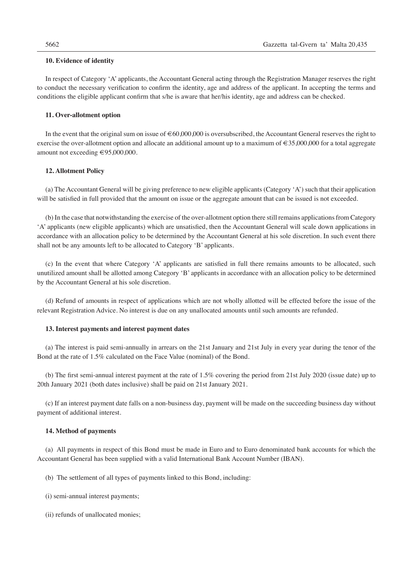#### **10. Evidence of identity**

In respect of Category 'A' applicants, the Accountant General acting through the Registration Manager reserves the right to conduct the necessary verification to confirm the identity, age and address of the applicant. In accepting the terms and conditions the eligible applicant confirm that s/he is aware that her/his identity, age and address can be checked.

#### **11. Over-allotment option**

In the event that the original sum on issue of  $\epsilon$ 60,000,000 is oversubscribed, the Accountant General reserves the right to exercise the over-allotment option and allocate an additional amount up to a maximum of €35,000,000 for a total aggregate amount not exceeding €95,000,000.

#### **12. Allotment Policy**

(a) The Accountant General will be giving preference to new eligible applicants (Category 'A') such that their application will be satisfied in full provided that the amount on issue or the aggregate amount that can be issued is not exceeded.

(b) In the case that notwithstanding the exercise of the over-allotment option there still remains applications from Category 'A' applicants (new eligible applicants) which are unsatisfied, then the Accountant General will scale down applications in accordance with an allocation policy to be determined by the Accountant General at his sole discretion. In such event there shall not be any amounts left to be allocated to Category 'B' applicants.

(c) In the event that where Category 'A' applicants are satisfied in full there remains amounts to be allocated, such unutilized amount shall be allotted among Category 'B' applicants in accordance with an allocation policy to be determined by the Accountant General at his sole discretion.

(d) Refund of amounts in respect of applications which are not wholly allotted will be effected before the issue of the relevant Registration Advice. No interest is due on any unallocated amounts until such amounts are refunded.

#### **13. Interest payments and interest payment dates**

(a) The interest is paid semi-annually in arrears on the 21st January and 21st July in every year during the tenor of the Bond at the rate of 1.5% calculated on the Face Value (nominal) of the Bond.

(b) The first semi-annual interest payment at the rate of 1.5% covering the period from 21st July 2020 (issue date) up to 20th January 2021 (both dates inclusive) shall be paid on 21st January 2021.

(c) If an interest payment date falls on a non-business day, payment will be made on the succeeding business day without payment of additional interest.

#### **14. Method of payments**

(a) All payments in respect of this Bond must be made in Euro and to Euro denominated bank accounts for which the Accountant General has been supplied with a valid International Bank Account Number (IBAN).

- (b) The settlement of all types of payments linked to this Bond, including:
- (i) semi-annual interest payments;
- (ii) refunds of unallocated monies;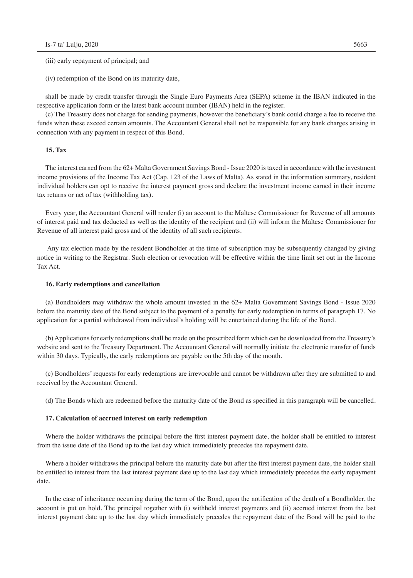(iii) early repayment of principal; and

(iv) redemption of the Bond on its maturity date,

shall be made by credit transfer through the Single Euro Payments Area (SEPA) scheme in the IBAN indicated in the respective application form or the latest bank account number (IBAN) held in the register.

(c) The Treasury does not charge for sending payments, however the beneficiary's bank could charge a fee to receive the funds when these exceed certain amounts. The Accountant General shall not be responsible for any bank charges arising in connection with any payment in respect of this Bond.

#### **15. Tax**

The interest earned from the 62+ Malta Government Savings Bond - Issue 2020 is taxed in accordance with the investment income provisions of the Income Tax Act (Cap. 123 of the Laws of Malta). As stated in the information summary, resident individual holders can opt to receive the interest payment gross and declare the investment income earned in their income tax returns or net of tax (withholding tax).

Every year, the Accountant General will render (i) an account to the Maltese Commissioner for Revenue of all amounts of interest paid and tax deducted as well as the identity of the recipient and (ii) will inform the Maltese Commissioner for Revenue of all interest paid gross and of the identity of all such recipients.

 Any tax election made by the resident Bondholder at the time of subscription may be subsequently changed by giving notice in writing to the Registrar. Such election or revocation will be effective within the time limit set out in the Income Tax Act.

#### **16. Early redemptions and cancellation**

(a) Bondholders may withdraw the whole amount invested in the 62+ Malta Government Savings Bond - Issue 2020 before the maturity date of the Bond subject to the payment of a penalty for early redemption in terms of paragraph 17. No application for a partial withdrawal from individual's holding will be entertained during the life of the Bond.

(b) Applications for early redemptions shall be made on the prescribed form which can be downloaded from the Treasury's website and sent to the Treasury Department. The Accountant General will normally initiate the electronic transfer of funds within 30 days. Typically, the early redemptions are payable on the 5th day of the month.

(c) Bondholders' requests for early redemptions are irrevocable and cannot be withdrawn after they are submitted to and received by the Accountant General.

(d) The Bonds which are redeemed before the maturity date of the Bond as specified in this paragraph will be cancelled.

#### **17. Calculation of accrued interest on early redemption**

Where the holder withdraws the principal before the first interest payment date, the holder shall be entitled to interest from the issue date of the Bond up to the last day which immediately precedes the repayment date.

Where a holder withdraws the principal before the maturity date but after the first interest payment date, the holder shall be entitled to interest from the last interest payment date up to the last day which immediately precedes the early repayment date.

In the case of inheritance occurring during the term of the Bond, upon the notification of the death of a Bondholder, the account is put on hold. The principal together with (i) withheld interest payments and (ii) accrued interest from the last interest payment date up to the last day which immediately precedes the repayment date of the Bond will be paid to the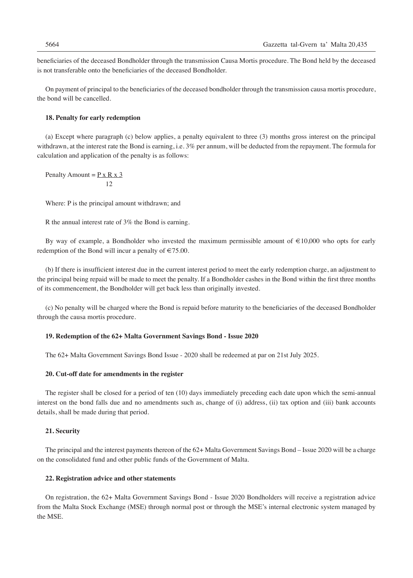beneficiaries of the deceased Bondholder through the transmission Causa Mortis procedure. The Bond held by the deceased is not transferable onto the beneficiaries of the deceased Bondholder.

On payment of principal to the beneficiaries of the deceased bondholder through the transmission causa mortis procedure, the bond will be cancelled.

#### **18. Penalty for early redemption**

(a) Except where paragraph (c) below applies, a penalty equivalent to three (3) months gross interest on the principal withdrawn, at the interest rate the Bond is earning, i.e. 3% per annum, will be deducted from the repayment. The formula for calculation and application of the penalty is as follows:

Penalty Amount =  $P \times R \times 3$ 12

Where: P is the principal amount withdrawn; and

R the annual interest rate of 3% the Bond is earning.

By way of example, a Bondholder who invested the maximum permissible amount of  $\epsilon$ 10,000 who opts for early redemption of the Bond will incur a penalty of  $\in 75.00$ .

(b) If there is insufficient interest due in the current interest period to meet the early redemption charge, an adjustment to the principal being repaid will be made to meet the penalty. If a Bondholder cashes in the Bond within the first three months of its commencement, the Bondholder will get back less than originally invested.

(c) No penalty will be charged where the Bond is repaid before maturity to the beneficiaries of the deceased Bondholder through the causa mortis procedure.

#### **19. Redemption of the 62+ Malta Government Savings Bond - Issue 2020**

The 62+ Malta Government Savings Bond Issue - 2020 shall be redeemed at par on 21st July 2025.

#### **20. Cut-off date for amendments in the register**

The register shall be closed for a period of ten (10) days immediately preceding each date upon which the semi-annual interest on the bond falls due and no amendments such as, change of (i) address, (ii) tax option and (iii) bank accounts details, shall be made during that period.

#### **21. Security**

The principal and the interest payments thereon of the 62+ Malta Government Savings Bond – Issue 2020 will be a charge on the consolidated fund and other public funds of the Government of Malta.

#### **22. Registration advice and other statements**

On registration, the 62+ Malta Government Savings Bond - Issue 2020 Bondholders will receive a registration advice from the Malta Stock Exchange (MSE) through normal post or through the MSE's internal electronic system managed by the MSE.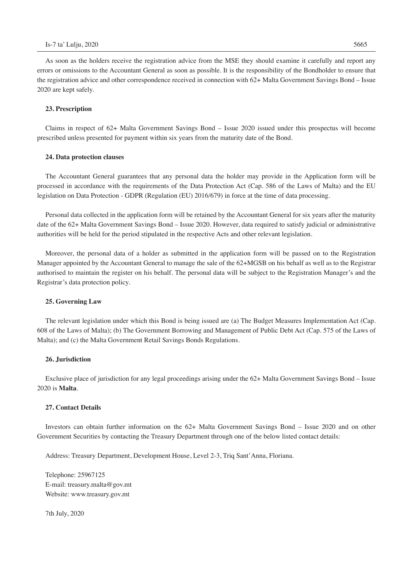As soon as the holders receive the registration advice from the MSE they should examine it carefully and report any errors or omissions to the Accountant General as soon as possible. It is the responsibility of the Bondholder to ensure that the registration advice and other correspondence received in connection with 62+ Malta Government Savings Bond – Issue 2020 are kept safely.

#### **23. Prescription**

Claims in respect of 62+ Malta Government Savings Bond – Issue 2020 issued under this prospectus will become prescribed unless presented for payment within six years from the maturity date of the Bond.

#### **24. Data protection clauses**

The Accountant General guarantees that any personal data the holder may provide in the Application form will be processed in accordance with the requirements of the Data Protection Act (Cap. 586 of the Laws of Malta) and the EU legislation on Data Protection - GDPR (Regulation (EU) 2016/679) in force at the time of data processing.

Personal data collected in the application form will be retained by the Accountant General for six years after the maturity date of the 62+ Malta Government Savings Bond – Issue 2020. However, data required to satisfy judicial or administrative authorities will be held for the period stipulated in the respective Acts and other relevant legislation.

Moreover, the personal data of a holder as submitted in the application form will be passed on to the Registration Manager appointed by the Accountant General to manage the sale of the 62+MGSB on his behalf as well as to the Registrar authorised to maintain the register on his behalf. The personal data will be subject to the Registration Manager's and the Registrar's data protection policy.

#### **25. Governing Law**

The relevant legislation under which this Bond is being issued are (a) The Budget Measures Implementation Act (Cap. 608 of the Laws of Malta); (b) The Government Borrowing and Management of Public Debt Act (Cap. 575 of the Laws of Malta); and (c) the Malta Government Retail Savings Bonds Regulations.

#### **26. Jurisdiction**

Exclusive place of jurisdiction for any legal proceedings arising under the 62+ Malta Government Savings Bond – Issue 2020 is **Malta**.

#### **27. Contact Details**

Investors can obtain further information on the 62+ Malta Government Savings Bond – Issue 2020 and on other Government Securities by contacting the Treasury Department through one of the below listed contact details:

Address: Treasury Department, Development House, Level 2-3, Triq Sant'Anna, Floriana.

Telephone: 25967125 E-mail: treasury.malta@gov.mt Website: www.treasury.gov.mt

7th July, 2020